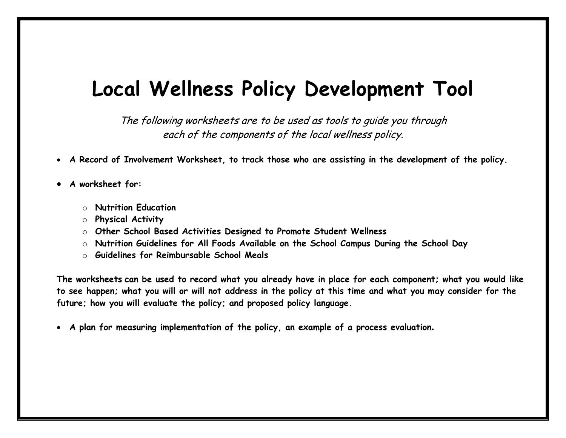# **Local Wellness Policy Development Tool**

The following worksheets are to be used as tools to guide you through each of the components of the local wellness policy.

- **A Record of Involvement Worksheet, to track those who are assisting in the development of the policy.**
- **A worksheet for:**
	- o **Nutrition Education**
	- o **Physical Activity**
	- o **Other School Based Activities Designed to Promote Student Wellness**
	- o **Nutrition Guidelines for All Foods Available on the School Campus During the School Day**
	- o **Guidelines for Reimbursable School Meals**

**The worksheets can be used to record what you already have in place for each component; what you would like to see happen; what you will or will not address in the policy at this time and what you may consider for the future; how you will evaluate the policy; and proposed policy language.**

**A plan for measuring implementation of the policy, an example of a process evaluation.**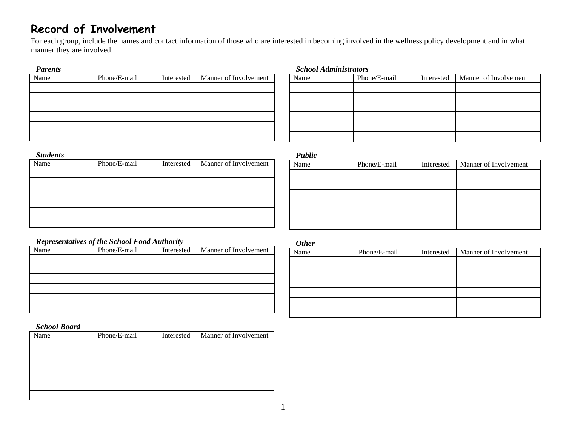### **Record of Involvement**

For each group, include the names and contact information of those who are interested in becoming involved in the wellness policy development and in what manner they are involved.

#### *Parents*

| - - - - - - - - |              |            |                       |
|-----------------|--------------|------------|-----------------------|
| Name            | Phone/E-mail | Interested | Manner of Involvement |
|                 |              |            |                       |
|                 |              |            |                       |
|                 |              |            |                       |
|                 |              |            |                       |
|                 |              |            |                       |
|                 |              |            |                       |
|                 |              |            |                       |

#### *Students*

| Name | Phone/E-mail | Interested | Manner of Involvement |
|------|--------------|------------|-----------------------|
|      |              |            |                       |
|      |              |            |                       |
|      |              |            |                       |
|      |              |            |                       |
|      |              |            |                       |
|      |              |            |                       |

#### *Representatives of the School Food Authority*

| Name | Phone/E-mail | Interested | Manner of Involvement |
|------|--------------|------------|-----------------------|
|      |              |            |                       |
|      |              |            |                       |
|      |              |            |                       |
|      |              |            |                       |
|      |              |            |                       |
|      |              |            |                       |

#### *School Board*

| Name | Phone/E-mail | Interested | Manner of Involvement |
|------|--------------|------------|-----------------------|
|      |              |            |                       |
|      |              |            |                       |
|      |              |            |                       |
|      |              |            |                       |
|      |              |            |                       |
|      |              |            |                       |

#### *School Administrators*

| Name | Phone/E-mail | Interested | Manner of Involvement |
|------|--------------|------------|-----------------------|
|      |              |            |                       |
|      |              |            |                       |
|      |              |            |                       |
|      |              |            |                       |
|      |              |            |                       |
|      |              |            |                       |

*Public*

| $\sim$ 000 000 |              |            |                       |
|----------------|--------------|------------|-----------------------|
| Name           | Phone/E-mail | Interested | Manner of Involvement |
|                |              |            |                       |
|                |              |            |                       |
|                |              |            |                       |
|                |              |            |                       |
|                |              |            |                       |
|                |              |            |                       |

#### *Other*

| Name | Phone/E-mail | Interested | Manner of Involvement |
|------|--------------|------------|-----------------------|
|      |              |            |                       |
|      |              |            |                       |
|      |              |            |                       |
|      |              |            |                       |
|      |              |            |                       |
|      |              |            |                       |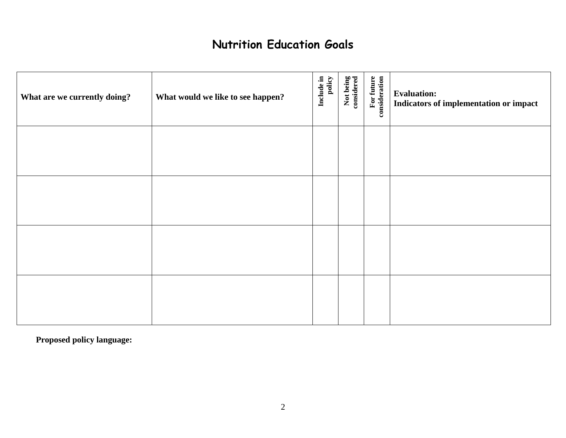### **Nutrition Education Goals**

| What are we currently doing? | What would we like to see happen? | Include in<br>policy | Not being<br>considered | For future<br>consideration | <b>Evaluation:</b><br>Indicators of implementation or impact |
|------------------------------|-----------------------------------|----------------------|-------------------------|-----------------------------|--------------------------------------------------------------|
|                              |                                   |                      |                         |                             |                                                              |
|                              |                                   |                      |                         |                             |                                                              |
|                              |                                   |                      |                         |                             |                                                              |
|                              |                                   |                      |                         |                             |                                                              |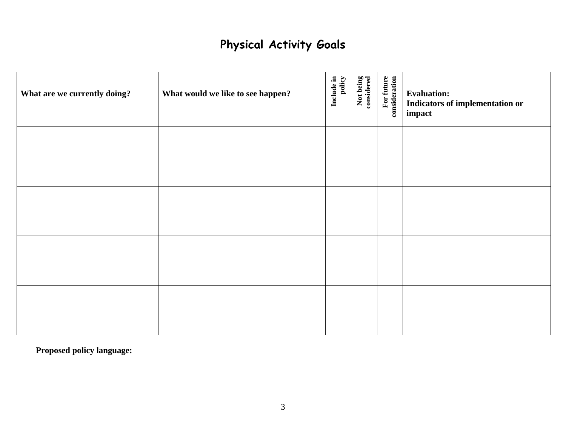# **Physical Activity Goals**

| What are we currently doing? | What would we like to see happen? | policy<br>Include in | Not being<br>considered | For future<br>consideration | <b>Evaluation:</b><br><b>Indicators of implementation or</b><br>impact |
|------------------------------|-----------------------------------|----------------------|-------------------------|-----------------------------|------------------------------------------------------------------------|
|                              |                                   |                      |                         |                             |                                                                        |
|                              |                                   |                      |                         |                             |                                                                        |
|                              |                                   |                      |                         |                             |                                                                        |
|                              |                                   |                      |                         |                             |                                                                        |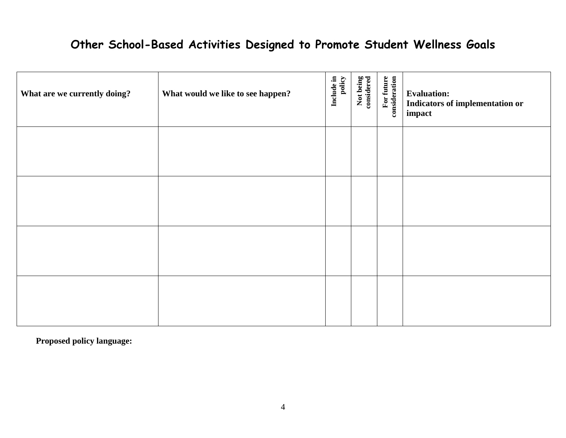# **Other School-Based Activities Designed to Promote Student Wellness Goals**

| What are we currently doing? | What would we like to see happen? | Include in<br>policy | Not being<br>considered | For future<br>consideration | <b>Evaluation:</b><br><b>Indicators of implementation or</b><br>impact |
|------------------------------|-----------------------------------|----------------------|-------------------------|-----------------------------|------------------------------------------------------------------------|
|                              |                                   |                      |                         |                             |                                                                        |
|                              |                                   |                      |                         |                             |                                                                        |
|                              |                                   |                      |                         |                             |                                                                        |
|                              |                                   |                      |                         |                             |                                                                        |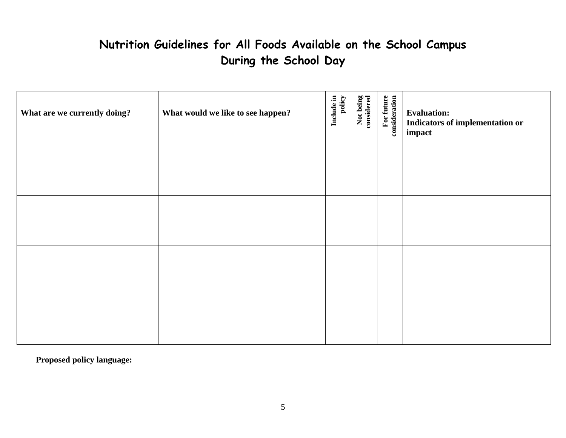# **Nutrition Guidelines for All Foods Available on the School Campus During the School Day**

| What are we currently doing? | What would we like to see happen? | Include in<br>policy | Not being<br>considered | For future<br>consideration | <b>Evaluation:</b><br>Indicators of implementation or<br>impact |
|------------------------------|-----------------------------------|----------------------|-------------------------|-----------------------------|-----------------------------------------------------------------|
|                              |                                   |                      |                         |                             |                                                                 |
|                              |                                   |                      |                         |                             |                                                                 |
|                              |                                   |                      |                         |                             |                                                                 |
|                              |                                   |                      |                         |                             |                                                                 |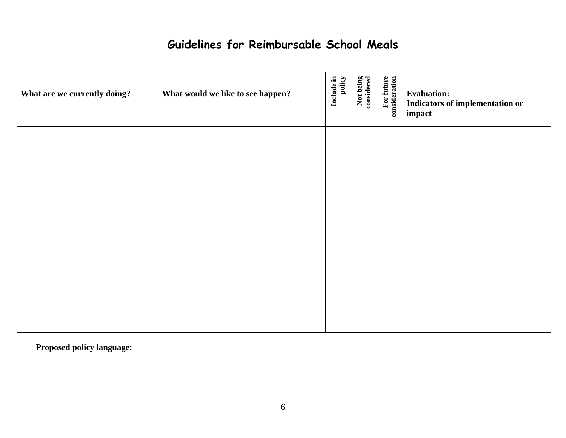## **Guidelines for Reimbursable School Meals**

| What are we currently doing? | What would we like to see happen? | Include in<br>policy | Not being<br>considered | For future<br>consideration | <b>Evaluation:</b><br>Indicators of implementation or<br>impact |
|------------------------------|-----------------------------------|----------------------|-------------------------|-----------------------------|-----------------------------------------------------------------|
|                              |                                   |                      |                         |                             |                                                                 |
|                              |                                   |                      |                         |                             |                                                                 |
|                              |                                   |                      |                         |                             |                                                                 |
|                              |                                   |                      |                         |                             |                                                                 |